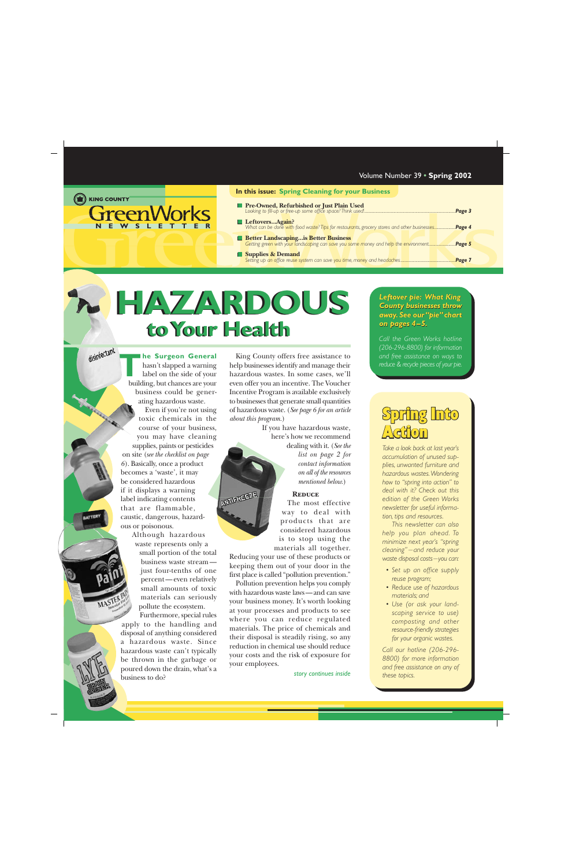#### <span id="page-0-0"></span>E KING COUNTY

**GreenWorks WSLETTE** 

#### **In this issue: Spring Cleaning for your Business**

- **[Pre-Owned, Refurbished or Just Plain Used](#page-2-0)** *Looking to fill-up or free-up some office space? Think used! ................................................................................................Page 3*
- **Leftovers...Again?** *[What can be done with food waste? Tips for restaurants, grocery stores and other businesses......................](#page-3-0)Page 4*
- **Better Landscaping...is Better Business** *[Getting green with your landscaping can save you some money and help the environment............................](#page-4-0)Page 5*
- **Supplies & Demand** *[Setting up an office reuse system can save you time, money and headaches..........................................................](#page-6-0)Page 7*

## **to Your Health to Your Health HAZARDOUS HAZARDOUS**

**ANTIFREEZE** 

disinfectant

**he Surgeon General** hasn't slapped a warning label on the side of your **he Surgeon General**<br>hasn't slapped a warning<br>label on the side of your<br>building, but chances are your business could be generating hazardous waste. Even if you're not using toxic chemicals in the course of your business, you may have cleaning supplies, paints or pesticides on site (*[see the checklist on page](#page-5-0) [6](#page-5-0)*). Basically, once a product becomes a 'waste', it may be considered hazardous if it displays a warning label indicating contents that are flammable, caustic, dangerous, hazardous or poisonous.

> Although hazardous waste represents only a small portion of the total business waste stream just four-tenths of one percent—even relatively small amounts of toxic materials can seriously pollute the ecosystem.

Furthermore, special rules apply to the handling and disposal of anything considered a hazardous waste. Since hazardous waste can't typically be thrown in the garbage or poured down the drain, what's a business to do?

King County offers free assistance to help businesses identify and manage their hazardous wastes. In some cases, we'll even offer you an incentive. The Voucher Incentive Program is available exclusively to businesses that generate small quantities of hazardous waste. (*[See page 6 for an article](#page-5-0) [about this program.](#page-5-0)*)

> If you have hazardous waste, here's how we recommend dealing with it. (*[See the](#page-1-0) list on page 2 for*

*[contact information](#page-1-0) on all of the resources mentioned below.*)

#### **Reduce**

The most effective way to deal with products that are considered hazardous is to stop using the materials all together.

Reducing your use of these products or keeping them out of your door in the first place is called "pollution prevention."

Pollution prevention helps you comply with hazardous waste laws—and can save your business money. It's worth looking at your processes and products to see where you can reduce regulated materials. The price of chemicals and their disposal is steadily rising, so any reduction in chemical use should reduce your costs and the risk of exposure for your employees.

*[story continues inside](#page-1-0)*

*Leftover pie: What King County businesses throw [away. See our "pie" chart](#page-4-0) away. See our "pie" chart on pages 4–5. pages 4–5.*

*Call the Green Works hotline (206-296-8800) for information and free assistance on ways to reduce & recycle pieces of your pie.*

## Spring Into  $\triangle$ ction

*Take a look back at last year's accumulation of unused supplies, unwanted furniture and hazardous wastes. Wondering how to "spring into action" to deal with it? Check out this edition of the Green Works newsletter for useful information, tips and resources.*

*This newsletter can also help you plan ahead. To minimize next year's "spring cleaning" — and reduce your waste disposal costs—you can:*

- *• Set up an office supply reuse program;*
- *• Reduce use of hazardous materials; and*
- *• Use (or ask your landscaping service to use) composting and other resource-friendly strategies for your organic wastes.*

*Call our hotline (206-296- 8800) for more information and free assistance on any of these topics.*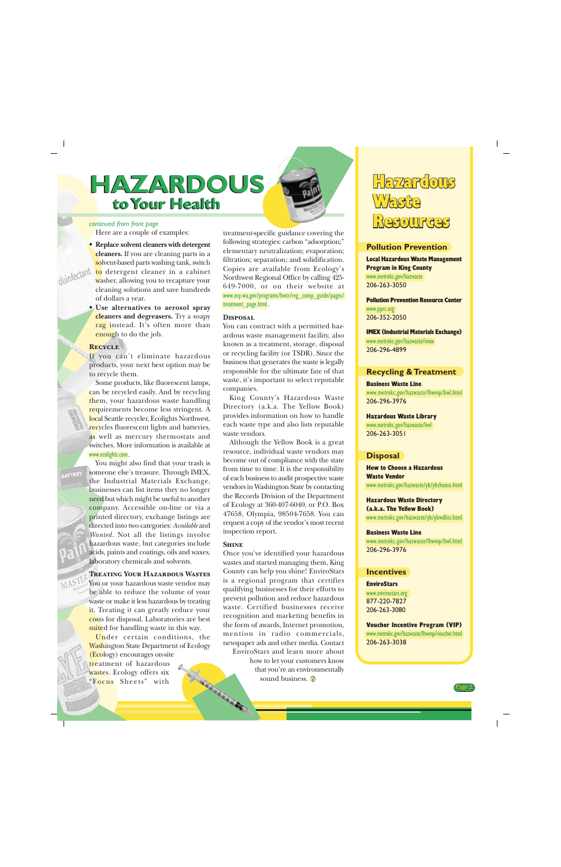## <span id="page-1-0"></span>**to Your Health to Your Health HAZARDOUS HAZARDOUS**

#### *[continued from front page](#page-0-0)*

Here are a couple of examples:

• **Replace solvent cleaners with detergent cleaners.** If you are cleaning parts in a solvent-based parts washing tank, switch to detergent cleaner in a cabinet washer, allowing you to recapture your cleaning solutions and save hundreds of dollars a year.

• **Use alternatives to aerosol spray cleaners and degreasers.** Try a soapy rag instead. It's often more than enough to do the job.

#### **Recycle**

If you can't eliminate hazardous products, your next best option may be to recycle them.

Some products, like fluorescent lamps, can be recycled easily. And by recycling them, your hazardous waste handling requirements become less stringent. A local Seattle recycler, Ecolights Northwest, recycles fluorescent lights and batteries, as well as mercury thermostats and switches. More information is available at [www.ecolights.com](http://www.ecolights.com).

You might also find that your trash is someone else's treasure. Through IMEX, the Industrial Materials Exchange, businesses can list items they no longer need but which might be useful to another company. Accessible on-line or via a printed directory, exchange listings are directed into two categories: *Available* and *Wanted*. Not all the listings involve hazardous waste, but categories include acids, paints and coatings, oils and waxes, laboratory chemicals and solvents.

#### **Treating Your Hazardous Wastes**

You or your hazardous waste vendor may be able to reduce the volume of your waste or make it less hazardous by treating it. Treating it can greatly reduce your costs for disposal. Laboratories are best suited for handling waste in this way.

Under certain conditions, the Washington State Department of Ecology (Ecology) encourages on-site treatment of hazardous THURSDAY OF THE REAL PROPERTY wastes. Ecology offers six "Focus Sheets" with

treatment-specific guidance covering the following strategies: carbon "adsorption;" elementary neutralization; evaporation; filtration; separation; and solidification. Copies are available from Ecology's Northwest Regional Office by calling 425- 649-7000, or on their website at [www.ecy.wa.gov/programs/hwtr/reg\\_comp\\_guide/pages/](http://www.ecy.wa.gov/programs/hwtr/reg_comp_guide/pages/treatment_page.html) [treatment\\_page.html](http://www.ecy.wa.gov/programs/hwtr/reg_comp_guide/pages/treatment_page.html).

#### **Disposal**

You can contract with a permitted hazardous waste management facility, also known as a treatment, storage, disposal or recycling facility (or TSDR). Since the business that generates the waste is legally responsible for the ultimate fate of that waste, it's important to select reputable companies.

King County's Hazardous Waste Directory (a.k.a. The Yellow Book) provides information on how to handle each waste type and also lists reputable waste vendors.

Although the Yellow Book is a great resource, individual waste vendors may become out of compliance with the state from time to time. It is the responsibility of each business to audit prospective waste vendors in Washington State by contacting the Records Division of the Department of Ecology at 360-407-6040, or P.O. Box 47658, Olympia, 98504-7658. You can request a copy of the vendor's most recent inspection report.

#### **Shine**

Once you've identified your hazardous wastes and started managing them, King County can help you shine! EnviroStars is a regional program that certifies qualifying businesses for their efforts to prevent pollution and reduce hazardous waste. Certified businesses receive recognition and marketing benefits in the form of awards, Internet promotion, mention in radio commercials, newspaper ads and other media. Contact EnviroStars and learn more about

how to let your customers know that you're an environmentally sound business.



#### **Pollution Prevention**

Local Hazardous Waste Management Program in King County

[www.metrokc.gov/hazwaste](http://www.metrokc.gov/hazwaste) 206-263-3050

#### Pollution Prevention Resource Center

[www.pprc.org](http://www.pprc.org) 206-352-2050

#### IMEX (Industrial Materials Exchange)

[www.metrokc.gov/hazwaste/imex](http://www.metrokc.gov/hazwaste/imex) 206-296-4899

#### **Recycling & Treatment**

#### Business Waste Line

[www.metrokc.gov/hazwaste/lhwmp/bwl.html](http://www.metrokc.gov/hazwaste/lhwmp/bwl.html) 206-296-3976

#### Hazardous Waste Library

[www.metrokc.gov/hazwaste/hwl](http://www.metrokc.gov/hazwaste/hwl) 206-263-3051

#### **Disposal**

How to Choose a Hazardous Waste Vendor [www.metrokc.gov/hazwaste/yb/ybchoose.html](http://www.metrokc.gov/hazwaste/yb/ybchoose.html)

Hazardous Waste Directory (a.k.a. The Yellow Book) [www.metrokc.gov/hazwaste/yb/ybwdlist.html](http://www.metrokc.gov/hazwaste/yb/ybwdlist.html)

#### Business Waste Line

[www.metrokc.gov/hazwaste/lhwmp/bwl.html](http://www.metrokc.gov/hazwaste/lhwmp/bwl.html) 206-296-3976

#### **Incentives**

#### **EnviroStars**

[www.envirostars.org](http://www.envirostars.org) 877-220-7827 206-263-3080

#### Voucher Incentive Program (VIP)

[www.metrokc.gov/hazwaste/lhwmp/voucher.html](http://www.metrokc.gov/hazwaste/lhwmp/voucher.html) 206-263-3038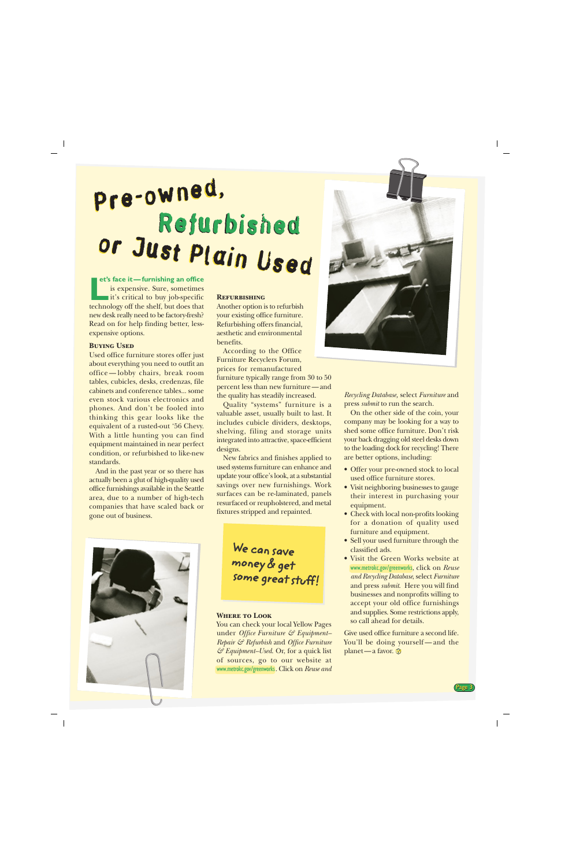# <span id="page-2-0"></span>Pre-owned, Pre-owned, Refurbished or Just Plain Used or Just Plain Used

**et's face it—furnishing an office** is expensive. Sure, sometimes **it's critical to buy job-specific et's face it—furnishing an office**<br>is expensive. Sure, sometimes<br>it's critical to buy job-specific<br>technology off the shelf, but does that new desk really need to be factory-fresh?

Read on for help finding better, less-

#### **Buying Used**

expensive options.

Used office furniture stores offer just about everything you need to outfit an office — lobby chairs, break room tables, cubicles, desks, credenzas, file cabinets and conference tables... some even stock various electronics and phones. And don't be fooled into thinking this gear looks like the equivalent of a rusted-out '56 Chevy. With a little hunting you can find equipment maintained in near perfect condition, or refurbished to like-new standards.

And in the past year or so there has actually been a glut of high-quality used office furnishings available in the Seattle area, due to a number of high-tech companies that have scaled back or gone out of business.

#### **Refurbishing**

Another option is to refurbish your existing office furniture. Refurbishing offers financial, aesthetic and environmental benefits.

According to the Office Furniture Recyclers Forum, prices for remanufactured furniture typically range from 30 to 50 percent less than new furniture—and the quality has steadily increased.

Quality "systems" furniture is a valuable asset, usually built to last. It includes cubicle dividers, desktops, shelving, filing and storage units integrated into attractive, space-efficient designs.

New fabrics and finishes applied to used systems furniture can enhance and update your office's look, at a substantial savings over new furnishings. Work surfaces can be re-laminated, panels resurfaced or reupholstered, and metal fixtures stripped and repainted.



We can save money & get some great stuff!

#### **Where to Look**

You can check your local Yellow Pages under *Office Furniture & Equipment– Repair & Refurbish* and *Office Furniture & Equipment–Used*. Or, for a quick list of sources, go to our website at [www.metrokc.gov/greenworks](http://www.metrokc.gov/greenworks). Click on *Reuse and*



*Recycling Database,* select *Furniture* and press *submit* to run the search.

On the other side of the coin, your company may be looking for a way to shed some office furniture. Don't risk your back dragging old steel desks down to the loading dock for recycling! There are better options, including:

- Offer your pre-owned stock to local used office furniture stores.
- Visit neighboring businesses to gauge their interest in purchasing your equipment.
- Check with local non-profits looking for a donation of quality used furniture and equipment.
- Sell your used furniture through the classified ads.
- Visit the Green Works website at [www.metrokc.gov/greenworks](http://www.metrokc.gov/greenworks), click on *Reuse and Recycling Database*, select *Furniture* and press *submit*. Here you will find businesses and nonprofits willing to accept your old office furnishings and supplies. Some restrictions apply, so call ahead for details.

Give used office furniture a second life. You'll be doing yourself—and the planet—a favor.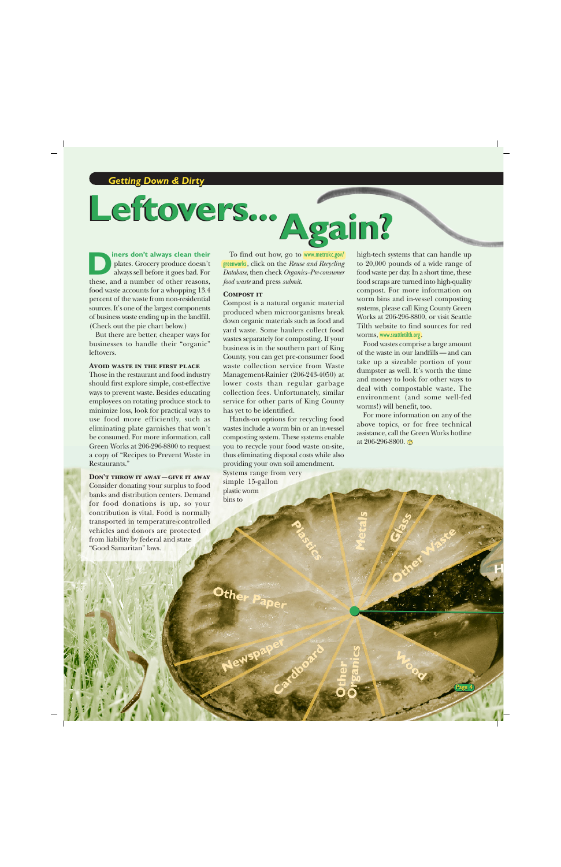# <span id="page-3-0"></span>**Leftovers...Again? Leftovers... Again?**

**iners don't always clean their** plates. Grocery produce doesn't always sell before it goes bad. For these, and a number of other reasons, food waste accounts for a whopping 13.4 percent of the waste from non-residential sources. It's one of the largest components of business waste ending up in the landfill. (Check out the pie chart below.) **DESPEND FORES CONSERVED SERVE AND SERVE THE SERVE AREA CONSERVED SERVERT PRESSURED PRESSURED PRESSURED AND SERVERT PRESSURED TO A DURING SURFACE AND SERVERT OF THE CONSERVED OF THE CONSERVERT PRESSURED TO A DURING THE SER** 

But there are better, cheaper ways for businesses to handle their "organic" leftovers.

#### **Avoid waste in the first place**

Those in the restaurant and food industry should first explore simple, cost-effective ways to prevent waste. Besides educating employees on rotating produce stock to minimize loss, look for practical ways to use food more efficiently, such as eliminating plate garnishes that won't be consumed. For more information, call Green Works at 206-296-8800 to request a copy of "Recipes to Prevent Waste in Restaurants."

#### **Don't throw it away—give it away**

Consider donating your surplus to food banks and distribution centers. Demand for food donations is up, so your contribution is vital. Food is normally transported in temperature-controlled vehicles and donors are protected from liability by federal and state "Good Samaritan" laws.

To find out how, go to [www.metrokc.gov/](http://www.metrokc.gov/greenworks) [greenworks](http://www.metrokc.gov/greenworks), click on the *Reuse and Recycling Database*, then check *Organics–Pre-consumer food waste* and press *submit*.

#### **Compost it**

Compost is a natural organic material produced when microorganisms break down organic materials such as food and yard waste. Some haulers collect food wastes separately for composting. If your business is in the southern part of King County, you can get pre-consumer food waste collection service from Waste Management-Rainier (206-243-4050) at lower costs than regular garbage collection fees. Unfortunately, similar service for other parts of King County has yet to be identified.

Hands-on options for recycling food wastes include a worm bin or an in-vessel composting system. These systems enable you to recycle your food waste on-site, thus eliminating disposal costs while also providing your own soil amendment. Systems range from very simple 15-gallon plastic worm bins to

Other Papel

to 20,000 pounds of a wide range of food waste per day. In a short time, these food scraps are turned into high-quality compost. For more information on worm bins and in-vessel composting systems, please call King County Green Works at 206-296-8800, or visit Seattle Tilth website to find sources for red worms, [www.seattletilth.org](http://www.seattletilth.org).

Food wastes comprise a large amount of the waste in our landfills—and can take up a sizeable portion of your dumpster as well. It's worth the time and money to look for other ways to deal with compostable waste. The environment (and some well-fed worms!) will benefit, too.

For more information on any of the above topics, or for free technical assistance, call the Green Works hotline at 206-296-8800.

Page 4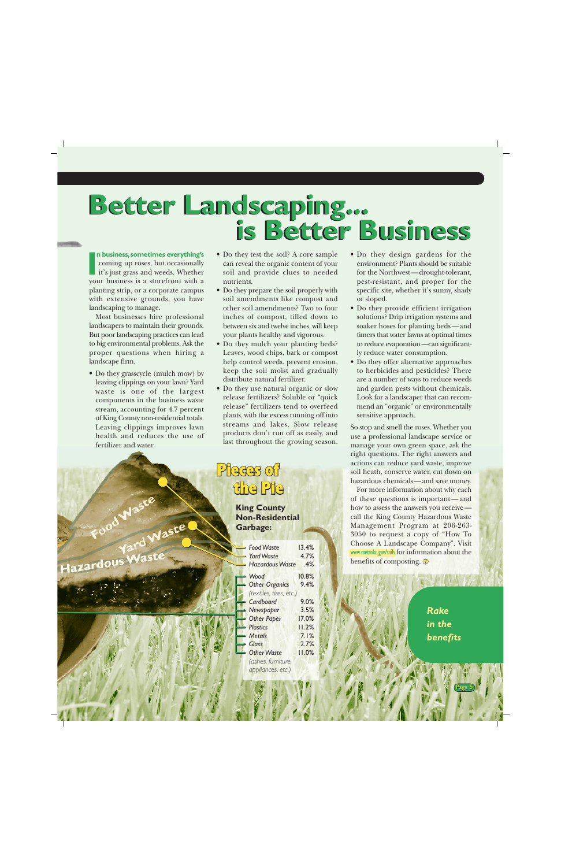# <span id="page-4-0"></span>**Better Landscaping... is Better Business Better Landscaping... is Better Business**

#### **n business, sometimes everything's**

coming up roses, but occasionally it's just grass and weeds. Whether your business is a storefront with a planting strip, or a corporate campus with extensive grounds, you have landscaping to manage.

Most businesses hire professional landscapers to maintain their grounds. But poor landscaping practices can lead to big environmental problems. Ask the proper questions when hiring a landscape firm.

• Do they grasscycle (mulch mow) by leaving clippings on your lawn? Yard waste is one of the largest components in the business waste stream, accounting for 4.7 percent of King County non-residential totals. Leaving clippings improves lawn health and reduces the use of fertilizer and water.

azardous

aste

- Do they test the soil? A core sample can reveal the organic content of your soil and provide clues to needed nutrients.
- Do they prepare the soil properly with soil amendments like compost and other soil amendments? Two to four inches of compost, tilled down to between six and twelve inches, will keep your plants healthy and vigorous.
- Do they mulch your planting beds? Leaves, wood chips, bark or compost help control weeds, prevent erosion, keep the soil moist and gradually distribute natural fertilizer.
- Do they use natural organic or slow release fertilizers? Soluble or "quick release" fertilizers tend to overfeed plants, with the excess running off into streams and lakes. Slow release products don't run off as easily, and last throughout the growing season.

## Pieces of the Pie

**King County Non-Residential Garbage:**

| $\rightarrow$ Food Waste  | 13.4% |
|---------------------------|-------|
|                           |       |
| Yard Waste                | 4.7%  |
| - Hazardous Waste         | .4%   |
| $\rightarrow$ Wood        | 10.8% |
| Other Organics            | 9.4%  |
| (textiles, tires, etc.)   |       |
| $\rightarrow$ Cardboard   | 9.0%  |
| $\rightarrow$ Newspaper   | 3.5%  |
| Other Paper               | 17.0% |
| $\rightarrow$ Plastics    | 11.2% |
| $ightharpoonup$ Metals    | 7.1%  |
| $\rightarrow$ Glass       | 2.7%  |
| $\rightarrow$ Other Waste | 11.0% |
| (ashes, furniture,        |       |
| appliances, etc.)         |       |

- **I** Do they design gardens for the coming up roses, but occasionally can reveal the organic content of your<br>it's just grass and weeds. Whether soil and provide clues to needed for the Northwest—drought-tolerant,<br>vour bus environment? Plants should be suitable for the Northwest—drought-tolerant, pest-resistant, and proper for the specific site, whether it's sunny, shady or sloped.
	- Do they provide efficient irrigation solutions? Drip irrigation systems and soaker hoses for planting beds—and timers that water lawns at optimal times to reduce evaporation—can significantly reduce water consumption.
	- Do they offer alternative approaches to herbicides and pesticides? There are a number of ways to reduce weeds and garden pests without chemicals. Look for a landscaper that can recommend an "organic" or environmentally sensitive approach.

So stop and smell the roses. Whether you use a professional landscape service or manage your own green space, ask the right questions. The right answers and actions can reduce yard waste, improve soil heath, conserve water, cut down on hazardous chemicals—and save money.

For more information about why each of these questions is important— and how to assess the answers you receive call the King County Hazardous Waste Management Program at 206-263- 3050 to request a copy of "How To Choose A Landscape Company". Visit [www.metrokc.gov/soils](http://www.metrokc.gov/soils) for information about the benefits of composting.

> *Rake in the benefits*

> > Page 5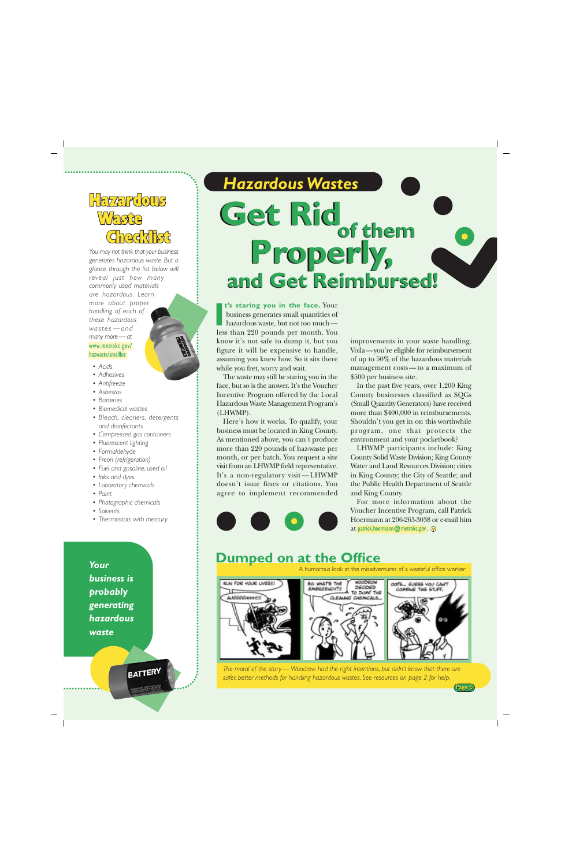## <span id="page-5-0"></span>**Hazardous** Waste **Checklist**

*You may not think that your business generates hazardous waste. But a glance through the list below will reveal just how many commonly used materials are hazardous. Learn more about proper handling of each of these hazardous wastes —and many more—at* [www.metrokc.gov/](http://www.metrokc.gov/hazwaste/smallbiz) hazwaste/smallbiz

#### *• Acids*

- *Adhesives*
- *Antifreeze*
- *Asbestos*
- *Batteries*
- *Biomedical wastes*
- *Bleach, cleaners, detergents and disinfectants*
- *Compressed gas containers*
- *Fluorescent lighting*
- *Formaldehyde*
- *Freon (refrigeration)*
- *Fuel and gasoline, used oil*
- *Inks and dyes*
- *Laboratory chemicals*
- *Paint*
- *Photographic chemicals*
- *Solvents*
- *Thermostats with mercury*

*Your business is probably generating hazardous waste*

**BATTERY** 

## *Hazardous Wastes* Get Rid<sub>of them</sub> **Properly, Properly, and Get Reimbursed! and Get Reimbursed!**

 **t's staring you in the face.** Your business generates small quantities of hazardous waste, but not too much t's staring you in the face. Your business generates small quantities of hazardous waste, but not too much—<br>less than 220 pounds per month. You know it's not safe to dump it, but you figure it will be expensive to handle, assuming you knew how. So it sits there while you fret, worry and wait.

The waste may still be staring you in the face, but so is the answer. It's the Voucher Incentive Program offered by the Local Hazardous Waste Management Program's (LHWMP).

Here's how it works. To qualify, your business must be located in King County. As mentioned above, you can't produce more than 220 pounds of haz-waste per month, or per batch. You request a site visit from an LHWMP field representative. It's a non-regulatory visit — LHWMP doesn't issue fines or citations. You agree to implement recommended

improvements in your waste handling. Voila—you're eligible for reimbursement of up to 50% of the hazardous materials management costs—to a maximum of \$500 per business site.

In the past five years, over 1,200 King County businesses classified as SQGs (Small Quantity Generators) have received more than \$400,000 in reimbursements. Shouldn't you get in on this worthwhile program, one that protects the environment and your pocketbook?

LHWMP participants include: King County Solid Waste Division; King County Water and Land Resources Division; cities in King County; the City of Seattle; and the Public Health Department of Seattle and King County.

For more information about the Voucher Incentive Program, call Patrick Hoermann at 206-263-3038 or e-mail him at [patrick.hoermann@metrokc.gov](mailto:patrick.hoermann@metrokc.gov).

#### **Dumped on at the Office**



*The moral of the story — Woodrow had the right intentions, but didn't know that there are safer, better methods for handling hazardous wastes. [See resources on page 2 for help.](#page-1-0)*

Page 6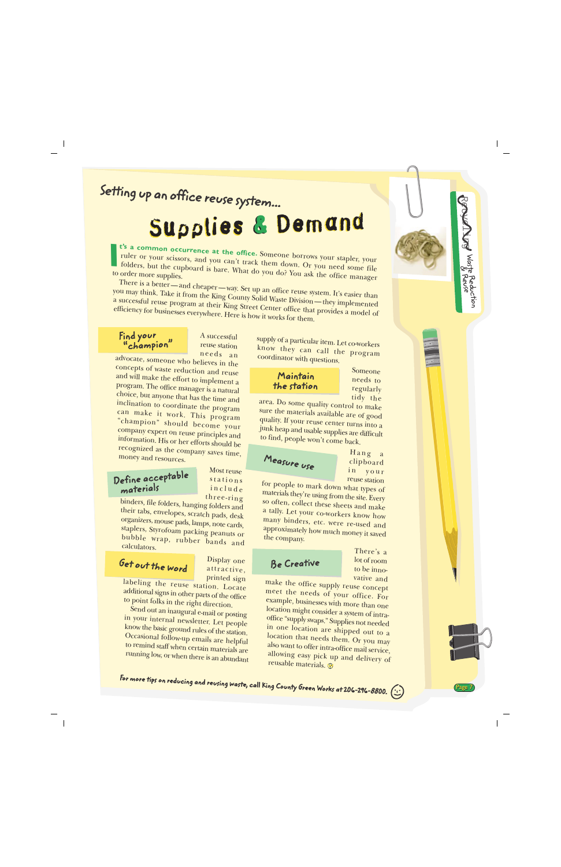## <span id="page-6-0"></span>Setting up an office reuse system...

# Supplies & Demand

**t's a common occurrence at the office.** Someone borrows your stapler, your ruler or your scissors, and you can't track them down. Or you need some file folders, but the cupboard is bare. What do you do? You ask the office manager<br>order more supplies. to order more supplies. **I**

There is a better—and cheaper—way. Set up an office reuse system. It's easier than you may think. Take it from the King County Solid Waste Division—they implemented<br>a successful reuse program at their King Street Capt. County County implemented a successful reuse program at their King Street Center office that provides a model of efficiency for businesses everywhere. Here is how it works for them.

#### Find your "champion"

A successful reuse station needs an

advocate, someone who believes in the concepts of waste reduction and reuse and will make the effort to implement a program. The office manager is a natural choice, but anyone that has the time and inclination to coordinate the program can make it work. This program "champion" should become your company expert on reuse principles and information. His or her efforts should be recognized as the company saves time, money and resources.

#### Define acceptable materials

Most reuse stations include three-ring

binders, file folders, hanging folders and their tabs, envelopes, scratch pads, desk organizers, mouse pads, lamps, note cards, staplers, Styrofoam packing peanuts or bubble wrap, rubber bands and calculators.

### Get out the word

Display one attractive, printed sign

labeling the reuse station. Locate additional signs in other parts of the office to point folks in the right direction.

Send out an inaugural e-mail or posting in your internal newsletter. Let people know the basic ground rules of the station. Occasional follow-up emails are helpful to remind staff when certain materials are running low, or when there is an abundant supply of a particular item. Let co-workers know they can call the program coordinator with questions.

#### Maintain the station

Someone needs to regularly tidy the Recycling

Waste Reductio

& Reuse

Page 7

n

area. Do some quality control to make sure the materials available are of good quality. If your reuse center turns into a junk heap and usable supplies are difficult to find, people won't come back.

Measure use

Hang a clipboard in your reuse station

for people to mark down what types of materials they're using from the site. Every so often, collect these sheets and make a tally. Let your co-workers know how many binders, etc. were re-used and approximately how much money it saved the company.

#### Be Creative

There's a lot of room to be innovative and

make the office supply reuse concept meet the needs of your office. For example, businesses with more than one location might consider a system of intraoffice "supply swaps." Supplies not needed in one location are shipped out to a location that needs them. Or you may also want to offer intra-office mail service, allowing easy pick up and delivery of reusable materials.

For more tips on reducing and reusing waste, call King County Green Works at 206-296-8800.  $\left(\cdot\right)$